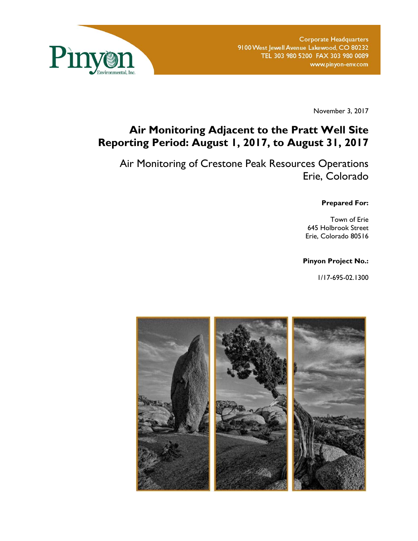

November 3, 2017

# **Air Monitoring Adjacent to the Pratt Well Site Reporting Period: August 1, 2017, to August 31, 2017**

Air Monitoring of Crestone Peak Resources Operations Erie, Colorado

#### **Prepared For:**

Town of Erie 645 Holbrook Street Erie, Colorado 80516

### **Pinyon Project No.:**

1/17-695-02.1300

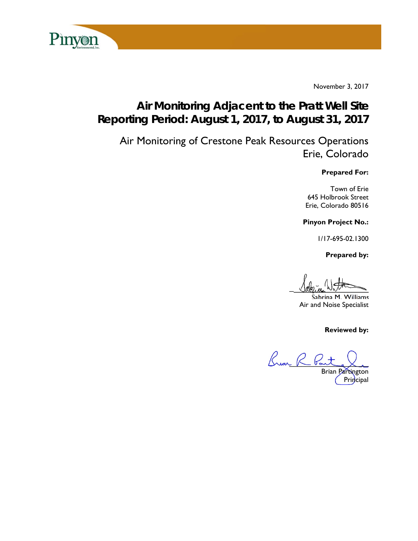

November 3, 2017

# **Air Monitoring Adjacent to the Pratt Well Site Reporting Period: August 1, 2017, to August 31, 2017**

Air Monitoring of Crestone Peak Resources Operations Erie, Colorado

**Prepared For:** 

Town of Erie 645 Holbrook Street Erie, Colorado 80516

**Pinyon Project No.:** 

1/17-695-02.1300

 **Prepared by:** 

 $U$ ague With

Sabrina M. Williams Air and Noise Specialist

**Reviewed by:** 

Buan R Po Brian Partington

Principal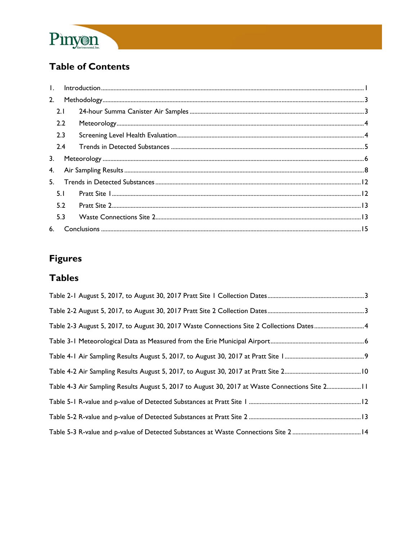

# **Table of Contents**

| 2. |     |  |
|----|-----|--|
|    | 2.1 |  |
|    | 2.2 |  |
|    | 2.3 |  |
|    | 2.4 |  |
| 3. |     |  |
|    |     |  |
|    | 5.  |  |
|    | 5.1 |  |
|    | 5.2 |  |
|    | 5.3 |  |
|    |     |  |

# **Figures**

# **Tables**

| Table 2-3 August 5, 2017, to August 30, 2017 Waste Connections Site 2 Collections Dates 4      |  |
|------------------------------------------------------------------------------------------------|--|
|                                                                                                |  |
|                                                                                                |  |
|                                                                                                |  |
| Table 4-3 Air Sampling Results August 5, 2017 to August 30, 2017 at Waste Connections Site 211 |  |
|                                                                                                |  |
|                                                                                                |  |
|                                                                                                |  |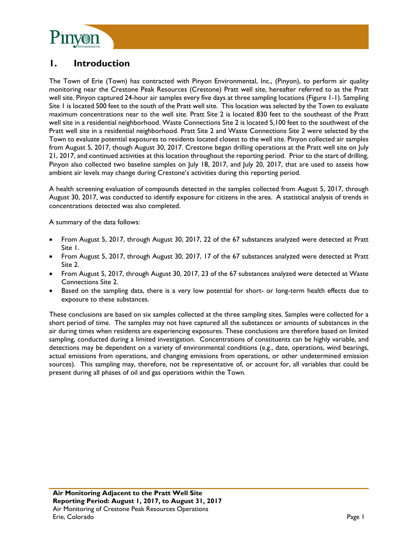

## **1. Introduction**

The Town of Erie (Town) has contracted with Pinyon Environmental, Inc., (Pinyon), to perform air quality monitoring near the Crestone Peak Resources (Crestone) Pratt well site, hereafter referred to as the Pratt well site. Pinyon captured 24-hour air samples every five days at three sampling locations (Figure 1-1). Sampling Site 1 is located 500 feet to the south of the Pratt well site. This location was selected by the Town to evaluate maximum concentrations near to the well site. Pratt Site 2 is located 830 feet to the southeast of the Pratt well site in a residential neighborhood. Waste Connections Site 2 is located 5,100 feet to the southwest of the Pratt well site in a residential neighborhood. Pratt Site 2 and Waste Connections Site 2 were selected by the Town to evaluate potential exposures to residents located closest to the well site. Pinyon collected air samples from August 5, 2017, though August 30, 2017. Crestone began drilling operations at the Pratt well site on July 21, 2017, and continued activities at this location throughout the reporting period. Prior to the start of drilling, Pinyon also collected two baseline samples on July 18, 2017, and July 20, 2017, that are used to assess how ambient air levels may change during Crestone's activities during this reporting period.

A health screening evaluation of compounds detected in the samples collected from August 5, 2017, through August 30, 2017, was conducted to identify exposure for citizens in the area. A statistical analysis of trends in concentrations detected was also completed.

A summary of the data follows:

- From August 5, 2017, through August 30, 2017, 22 of the 67 substances analyzed were detected at Pratt Site 1.
- From August 5, 2017, through August 30, 2017, 17 of the 67 substances analyzed were detected at Pratt Site 2.
- From August 5, 2017, through August 30, 2017, 23 of the 67 substances analyzed were detected at Waste Connections Site 2.
- Based on the sampling data, there is a very low potential for short- or long-term health effects due to exposure to these substances.

These conclusions are based on six samples collected at the three sampling sites. Samples were collected for a short period of time. The samples may not have captured all the substances or amounts of substances in the air during times when residents are experiencing exposures. These conclusions are therefore based on limited sampling, conducted during a limited investigation. Concentrations of constituents can be highly variable, and detections may be dependent on a variety of environmental conditions (e.g., date, operations, wind bearings, actual emissions from operations, and changing emissions from operations, or other undetermined emission sources). This sampling may, therefore, not be representative of, or account for, all variables that could be present during all phases of oil and gas operations within the Town.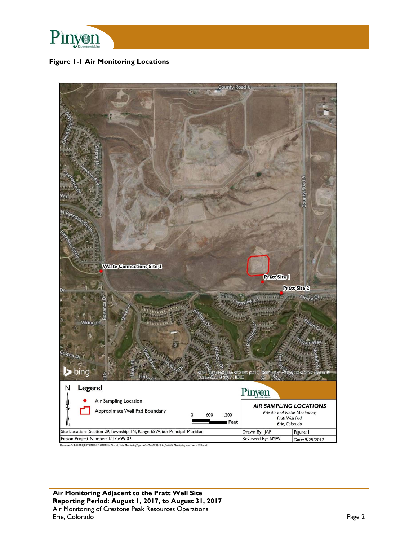

### **Figure 1-1 Air Monitoring Locations**

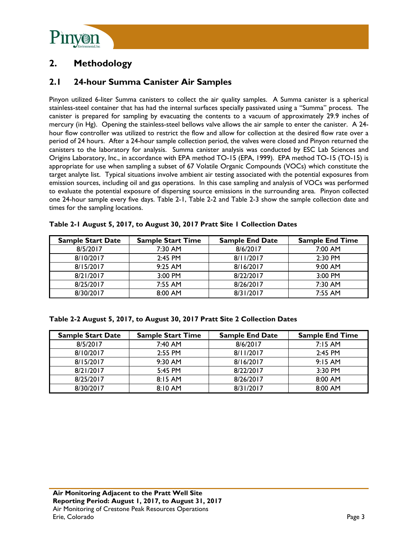

# **2. Methodology**

## **2.1 24-hour Summa Canister Air Samples**

Pinyon utilized 6-liter Summa canisters to collect the air quality samples. A Summa canister is a spherical stainless-steel container that has had the internal surfaces specially passivated using a "Summa" process. The canister is prepared for sampling by evacuating the contents to a vacuum of approximately 29.9 inches of mercury (in Hg). Opening the stainless-steel bellows valve allows the air sample to enter the canister. A 24 hour flow controller was utilized to restrict the flow and allow for collection at the desired flow rate over a period of 24 hours. After a 24-hour sample collection period, the valves were closed and Pinyon returned the canisters to the laboratory for analysis. Summa canister analysis was conducted by ESC Lab Sciences and Origins Laboratory, Inc., in accordance with EPA method TO-15 (EPA, 1999). EPA method TO-15 (TO-15) is appropriate for use when sampling a subset of 67 Volatile Organic Compounds (VOCs) which constitute the target analyte list. Typical situations involve ambient air testing associated with the potential exposures from emission sources, including oil and gas operations. In this case sampling and analysis of VOCs was performed to evaluate the potential exposure of dispersing source emissions in the surrounding area. Pinyon collected one 24-hour sample every five days. Table 2-1, Table 2-2 and Table 2-3 show the sample collection date and times for the sampling locations.

| <b>Sample Start Date</b> | <b>Sample Start Time</b> | <b>Sample End Date</b> | <b>Sample End Time</b> |
|--------------------------|--------------------------|------------------------|------------------------|
| 8/5/2017                 | $7:30$ AM                | 8/6/2017               | $7:00$ AM              |
| 8/10/2017                | $2:45$ PM                | 8/11/2017              | $2:30$ PM              |
| 8/15/2017                | $9:25$ AM                | 8/16/2017              | $9:00$ AM              |
| 8/21/2017                | $3:00$ PM                | 8/22/2017              | $3:00$ PM              |
| 8/25/2017                | 7:55 AM                  | 8/26/2017              | $7:30$ AM              |
| 8/30/2017                | 8:00 AM                  | 8/31/2017              | 7:55 AM                |

|  | Table 2-1 August 5, 2017, to August 30, 2017 Pratt Site 1 Collection Dates |  |
|--|----------------------------------------------------------------------------|--|
|  |                                                                            |  |

#### **Table 2-2 August 5, 2017, to August 30, 2017 Pratt Site 2 Collection Dates**

| <b>Sample Start Date</b> | <b>Sample Start Time</b> | <b>Sample End Date</b> | <b>Sample End Time</b> |
|--------------------------|--------------------------|------------------------|------------------------|
| 8/5/2017                 | 7:40 AM                  | 8/6/2017               | 7:15AM                 |
| 8/10/2017                | 2:55 PM                  | 8/11/2017              | 2:45 PM                |
| 8/15/2017                | 9:30 AM                  | 8/16/2017              | 9:15AM                 |
| 8/21/2017                | 5:45 PM                  | 8/22/2017              | 3:30 PM                |
| 8/25/2017                | 8:15AM                   | 8/26/2017              | 8:00 AM                |
| 8/30/2017                | 8:10 AM                  | 8/31/2017              | 8:00 AM                |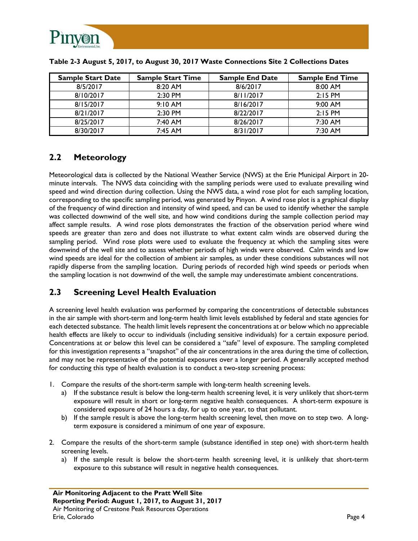

| <b>Sample Start Date</b> | <b>Sample Start Time</b> | <b>Sample End Date</b> | <b>Sample End Time</b> |
|--------------------------|--------------------------|------------------------|------------------------|
| 8/5/2017                 | $8:20$ AM                | 8/6/2017               | $8:00$ AM              |
| 8/10/2017                | $2:30$ PM                | 8/11/2017              | $2:15$ PM              |
| 8/15/2017                | $9:10$ AM                | 8/16/2017              | $9:00$ AM              |
| 8/21/2017                | $2:30$ PM                | 8/22/2017              | $2:15$ PM              |
| 8/25/2017                | 7:40 AM                  | 8/26/2017              | $7:30$ AM              |
| 8/30/2017                | 7:45 AM                  | 8/31/2017              | 7:30 AM                |

| Table 2-3 August 5, 2017, to August 30, 2017 Waste Connections Site 2 Collections Dates |  |  |
|-----------------------------------------------------------------------------------------|--|--|
|                                                                                         |  |  |

## **2.2 Meteorology**

Meteorological data is collected by the National Weather Service (NWS) at the Erie Municipal Airport in 20 minute intervals. The NWS data coinciding with the sampling periods were used to evaluate prevailing wind speed and wind direction during collection. Using the NWS data, a wind rose plot for each sampling location, corresponding to the specific sampling period, was generated by Pinyon. A wind rose plot is a graphical display of the frequency of wind direction and intensity of wind speed, and can be used to identify whether the sample was collected downwind of the well site, and how wind conditions during the sample collection period may affect sample results. A wind rose plots demonstrates the fraction of the observation period where wind speeds are greater than zero and does not illustrate to what extent calm winds are observed during the sampling period. Wind rose plots were used to evaluate the frequency at which the sampling sites were downwind of the well site and to assess whether periods of high winds were observed. Calm winds and low wind speeds are ideal for the collection of ambient air samples, as under these conditions substances will not rapidly disperse from the sampling location. During periods of recorded high wind speeds or periods when the sampling location is not downwind of the well, the sample may underestimate ambient concentrations.

## **2.3 Screening Level Health Evaluation**

A screening level health evaluation was performed by comparing the concentrations of detectable substances in the air sample with short-term and long-term health limit levels established by federal and state agencies for each detected substance. The health limit levels represent the concentrations at or below which no appreciable health effects are likely to occur to individuals (including sensitive individuals) for a certain exposure period. Concentrations at or below this level can be considered a "safe" level of exposure. The sampling completed for this investigation represents a "snapshot" of the air concentrations in the area during the time of collection, and may not be representative of the potential exposures over a longer period. A generally accepted method for conducting this type of health evaluation is to conduct a two-step screening process:

- 1. Compare the results of the short-term sample with long-term health screening levels.
	- a) If the substance result is below the long-term health screening level, it is very unlikely that short-term exposure will result in short or long-term negative health consequences. A short-term exposure is considered exposure of 24 hours a day, for up to one year, to that pollutant.
	- b) If the sample result is above the long-term health screening level, then move on to step two. A longterm exposure is considered a minimum of one year of exposure.
- 2. Compare the results of the short-term sample (substance identified in step one) with short-term health screening levels.
	- a) If the sample result is below the short-term health screening level, it is unlikely that short-term exposure to this substance will result in negative health consequences.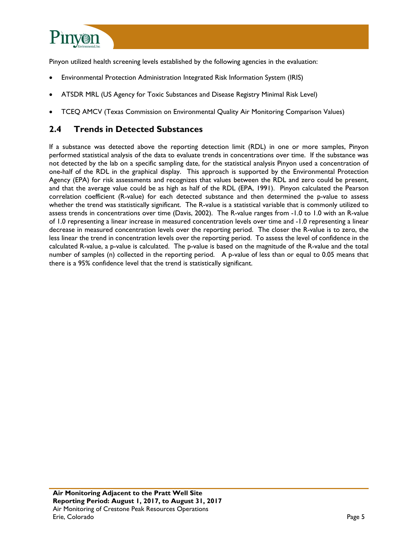

Pinyon utilized health screening levels established by the following agencies in the evaluation:

- Environmental Protection Administration Integrated Risk Information System (IRIS)
- ATSDR MRL (US Agency for Toxic Substances and Disease Registry Minimal Risk Level)
- TCEQ AMCV (Texas Commission on Environmental Quality Air Monitoring Comparison Values)

### **2.4 Trends in Detected Substances**

If a substance was detected above the reporting detection limit (RDL) in one or more samples, Pinyon performed statistical analysis of the data to evaluate trends in concentrations over time. If the substance was not detected by the lab on a specific sampling date, for the statistical analysis Pinyon used a concentration of one-half of the RDL in the graphical display. This approach is supported by the Environmental Protection Agency (EPA) for risk assessments and recognizes that values between the RDL and zero could be present, and that the average value could be as high as half of the RDL (EPA, 1991). Pinyon calculated the Pearson correlation coefficient (R-value) for each detected substance and then determined the p-value to assess whether the trend was statistically significant. The R-value is a statistical variable that is commonly utilized to assess trends in concentrations over time (Davis, 2002). The R-value ranges from -1.0 to 1.0 with an R-value of 1.0 representing a linear increase in measured concentration levels over time and -1.0 representing a linear decrease in measured concentration levels over the reporting period. The closer the R-value is to zero, the less linear the trend in concentration levels over the reporting period. To assess the level of confidence in the calculated R-value, a p-value is calculated. The p-value is based on the magnitude of the R-value and the total number of samples (n) collected in the reporting period. A p-value of less than or equal to 0.05 means that there is a 95% confidence level that the trend is statistically significant.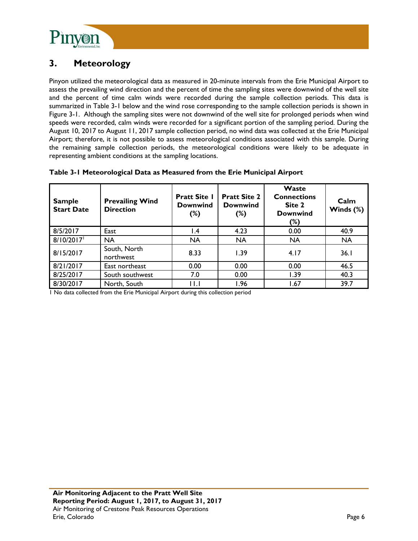

# **3. Meteorology**

Pinyon utilized the meteorological data as measured in 20-minute intervals from the Erie Municipal Airport to assess the prevailing wind direction and the percent of time the sampling sites were downwind of the well site and the percent of time calm winds were recorded during the sample collection periods. This data is summarized in Table 3-1 below and the wind rose corresponding to the sample collection periods is shown in Figure 3-1. Although the sampling sites were not downwind of the well site for prolonged periods when wind speeds were recorded, calm winds were recorded for a significant portion of the sampling period. During the August 10, 2017 to August 11, 2017 sample collection period, no wind data was collected at the Erie Municipal Airport; therefore, it is not possible to assess meteorological conditions associated with this sample. During the remaining sample collection periods, the meteorological conditions were likely to be adequate in representing ambient conditions at the sampling locations.

| Table 3-1 Meteorological Data as Measured from the Erie Municipal Airport |  |  |
|---------------------------------------------------------------------------|--|--|

| <b>Sample</b><br><b>Start Date</b> | <b>Prevailing Wind</b><br><b>Direction</b> | <b>Pratt Site I</b><br><b>Downwind</b><br>(%) | <b>Pratt Site 2</b><br><b>Downwind</b><br>$(\%)$ | Waste<br><b>Connections</b><br>Site 2<br><b>Downwind</b><br>(%) | Calm<br>Winds $(\%)$ |
|------------------------------------|--------------------------------------------|-----------------------------------------------|--------------------------------------------------|-----------------------------------------------------------------|----------------------|
| 8/5/2017                           | East                                       | $\mathsf{I}$ .4                               | 4.23                                             | 0.00                                                            | 40.9                 |
| 8/10/2017                          | <b>NA</b>                                  | <b>NA</b>                                     | <b>NA</b>                                        | <b>NA</b>                                                       | <b>NA</b>            |
| 8/15/2017                          | South, North<br>northwest                  | 8.33                                          | 1.39                                             | 4.17                                                            | 36.1                 |
| 8/21/2017                          | East northeast                             | 0.00                                          | 0.00                                             | 0.00                                                            | 46.5                 |
| 8/25/2017                          | South southwest                            | 7.0                                           | 0.00                                             | 1.39                                                            | 40.3                 |
| 8/30/2017                          | North, South                               | l I . I                                       | 1.96                                             | 1.67                                                            | 39.7                 |

1 No data collected from the Erie Municipal Airport during this collection period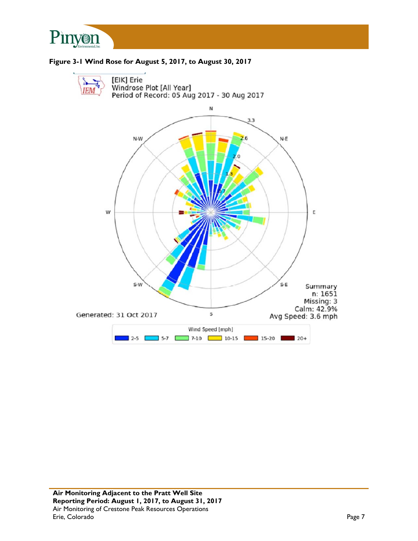



#### **Figure 3-1 Wind Rose for August 5, 2017, to August 30, 2017**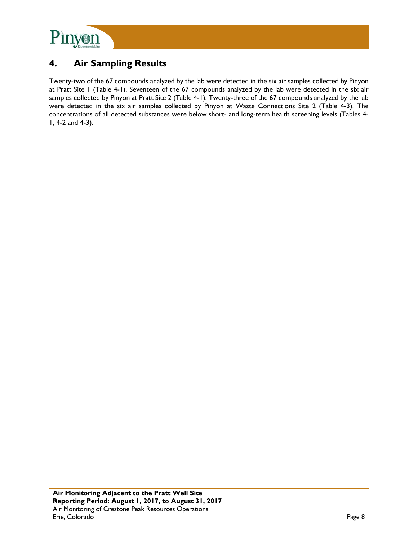

# **4. Air Sampling Results**

Twenty-two of the 67 compounds analyzed by the lab were detected in the six air samples collected by Pinyon at Pratt Site 1 (Table 4-1). Seventeen of the 67 compounds analyzed by the lab were detected in the six air samples collected by Pinyon at Pratt Site 2 (Table 4-1). Twenty-three of the 67 compounds analyzed by the lab were detected in the six air samples collected by Pinyon at Waste Connections Site 2 (Table 4-3). The concentrations of all detected substances were below short- and long-term health screening levels (Tables 4- 1, 4-2 and 4-3).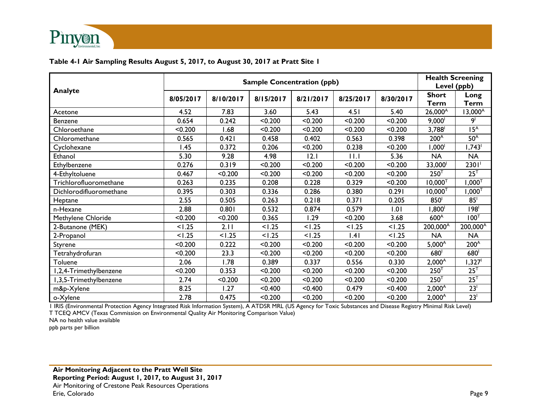

### **Table 4-1 Air Sampling Results August 5, 2017, to August 30, 2017 at Pratt Site 1**

|                         |           | <b>Health Screening</b><br>Level (ppb) |           |           |           |           |                             |                      |
|-------------------------|-----------|----------------------------------------|-----------|-----------|-----------|-----------|-----------------------------|----------------------|
| Analyte                 | 8/05/2017 | 8/10/2017                              | 8/15/2017 | 8/21/2017 | 8/25/2017 | 8/30/2017 | <b>Short</b><br><b>Term</b> | Long<br><b>Term</b>  |
| Acetone                 | 4.52      | 7.83                                   | 3.60      | 5.43      | 4.51      | 5.40      | 26,000 <sup>A</sup>         | $13,000^{\circ}$     |
| Benzene                 | 0.654     | 0.242                                  | < 0.200   | < 0.200   | < 0.200   | < 0.200   | $9,000^{\dagger}$           | 9 <sup>1</sup>       |
| Chloroethane            | < 0.200   | 1.68                                   | < 0.200   | < 0.200   | < 0.200   | < 0.200   | 3,788                       | 15 <sup>A</sup>      |
| Chloromethane           | 0.565     | 0.421                                  | 0.458     | 0.402     | 0.563     | 0.398     | 200 <sup>A</sup>            | 50 <sup>A</sup>      |
| Cyclohexane             | 1.45      | 0.372                                  | 0.206     | < 0.200   | 0.238     | < 0.200   | ,000 <sup>1</sup>           | $1,743$ <sup>1</sup> |
| Ethanol                 | 5.30      | 9.28                                   | 4.98      | 12.1      | 11.1      | 5.36      | <b>NA</b>                   | <b>NA</b>            |
| Ethylbenzene            | 0.276     | 0.319                                  | < 0.200   | < 0.200   | < 0.200   | < 0.200   | 33,000                      | 2301                 |
| 4-Ethyltoluene          | 0.467     | < 0.200                                | < 0.200   | < 0.200   | < 0.200   | < 0.200   | 250 <sup>T</sup>            | 25 <sup>T</sup>      |
| Trichlorofluoromethane  | 0.263     | 0.235                                  | 0.208     | 0.228     | 0.329     | < 0.200   | $10,000^{T}$                | $1,000^\intercal$    |
| Dichlorodifluoromethane | 0.395     | 0.303                                  | 0.336     | 0.286     | 0.380     | 0.291     | $10,000^{T}$                | $,000^{T}$           |
| Heptane                 | 2.55      | 0.505                                  | 0.263     | 0.218     | 0.371     | 0.205     | 850 <sup>1</sup>            | 85 <sup>1</sup>      |
| n-Hexane                | 2.88      | 0.801                                  | 0.532     | 0.874     | 0.579     | 1.01      | 1,800 <sup>1</sup>          | 198 <sup>1</sup>     |
| Methylene Chloride      | < 0.200   | < 0.200                                | 0.365     | 1.29      | < 0.200   | 3.68      | 600 <sup>A</sup>            | 100 <sup>T</sup>     |
| 2-Butanone (MEK)        | < 1.25    | 2.11                                   | 1.25      | < 1.25    | 1.25      | < 1.25    | 200,000 <sup>A</sup>        | 200,000 <sup>A</sup> |
| 2-Propanol              | < 1.25    | < 1.25                                 | < 1.25    | < 1.25    | .4        | < 1.25    | <b>NA</b>                   | <b>NA</b>            |
| Styrene                 | < 0.200   | 0.222                                  | < 0.200   | < 0.200   | < 0.200   | < 0.200   | $5,000^{\circ}$             | 200 <sup>A</sup>     |
| Tetrahydrofuran         | < 0.200   | 23.3                                   | < 0.200   | < 0.200   | < 0.200   | < 0.200   | 680                         | 680                  |
| Toluene                 | 2.06      | 1.78                                   | 0.389     | 0.337     | 0.556     | 0.330     | $2,000^{\text{A}}$          | 1,327 <sup>1</sup>   |
| 1,2,4-Trimethylbenzene  | < 0.200   | 0.353                                  | < 0.200   | < 0.200   | < 0.200   | < 0.200   | 250 <sup>T</sup>            | $25^T$               |
| 1,3,5-Trimethylbenzene  | 2.74      | < 0.200                                | < 0.200   | < 0.200   | < 0.200   | < 0.200   | 250 <sup>T</sup>            | $25^T$               |
| m&p-Xylene              | 8.25      | 1.27                                   | < 0.400   | < 0.400   | 0.479     | < 0.400   | $2,000^{\circ}$             | 23 <sup>1</sup>      |
| o-Xylene                | 2.78      | 0.475                                  | < 0.200   | < 0.200   | < 0.200   | < 0.200   | $2,000^{\text{A}}$          | 23 <sup>1</sup>      |

1 IRIS (Environmental Protection Agency Integrated Risk Information System), A ATDSR MRL (US Agency for Toxic Substances and Disease Registry Minimal Risk Level)

T TCEQ AMCV (Texas Commission on Environmental Quality Air Monitoring Comparison Value)

NA no health value available

ppb parts per billion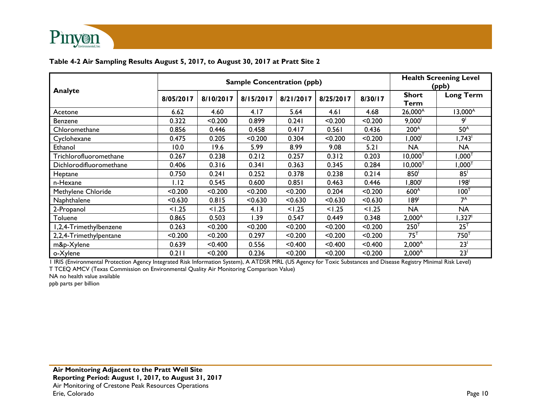

#### **Table 4-2 Air Sampling Results August 5, 2017, to August 30, 2017 at Pratt Site 2**

|                         |           | <b>Sample Concentration (ppb)</b> | <b>Health Screening Level</b><br>(ppb) |           |           |         |                      |                      |
|-------------------------|-----------|-----------------------------------|----------------------------------------|-----------|-----------|---------|----------------------|----------------------|
| Analyte                 | 8/05/2017 | 8/10/2017                         | 8/15/2017                              | 8/21/2017 | 8/25/2017 | 8/30/17 | <b>Short</b><br>Term | <b>Long Term</b>     |
| Acetone                 | 6.62      | 4.60                              | 4.17                                   | 5.64      | 4.61      | 4.68    | $26,000^{\text{A}}$  | 13,000 <sup>A</sup>  |
| Benzene                 | 0.322     | < 0.200                           | 0.899                                  | 0.241     | < 0.200   | < 0.200 | $9,000^{\circ}$      | 9'                   |
| Chloromethane           | 0.856     | 0.446                             | 0.458                                  | 0.417     | 0.561     | 0.436   | 200 <sup>A</sup>     | 50 <sup>A</sup>      |
| Cyclohexane             | 0.475     | 0.205                             | < 0.200                                | 0.304     | < 0.200   | < 0.200 | '000, ا              | $1,743$ <sup>1</sup> |
| Ethanol                 | 10.0      | 19.6                              | 5.99                                   | 8.99      | 9.08      | 5.21    | <b>NA</b>            | <b>NA</b>            |
| Trichlorofluoromethane  | 0.267     | 0.238                             | 0.212                                  | 0.257     | 0.312     | 0.203   | $10,000^{T}$         | $1{,}000^\intercal$  |
| Dichlorodifluoromethane | 0.406     | 0.316                             | 0.341                                  | 0.363     | 0.345     | 0.284   | $10,000^{T}$         | $1,000^\intercal$    |
| Heptane                 | 0.750     | 0.241                             | 0.252                                  | 0.378     | 0.238     | 0.214   | 850 <sup>1</sup>     | 85 <sup>1</sup>      |
| n-Hexane                | 1.12      | 0.545                             | 0.600                                  | 0.851     | 0.463     | 0.446   | ,800 <sup>1</sup>    | 198'                 |
| Methylene Chloride      | < 0.200   | < 0.200                           | < 0.200                                | < 0.200   | 0.204     | < 0.200 | 600 <sup>A</sup>     | $100^{\top}$         |
| Naphthalene             | < 0.630   | 0.815                             | < 0.630                                | < 0.630   | < 0.630   | < 0.630 | 189 <sup>1</sup>     | $7^A$                |
| 2-Propanol              | < 1.25    | < 1.25                            | 4.13                                   | < 1.25    | < 1.25    | < 1.25  | <b>NA</b>            | <b>NA</b>            |
| Toluene                 | 0.865     | 0.503                             | 1.39                                   | 0.547     | 0.449     | 0.348   | $2,000^{\text{A}}$   | 1,327 <sup>1</sup>   |
| I,2,4-Trimethylbenzene  | 0.263     | < 0.200                           | < 0.200                                | < 0.200   | < 0.200   | < 0.200 | 250 <sup>T</sup>     | 25 <sup>T</sup>      |
| 2,2,4-Trimethylpentane  | < 0.200   | < 0.200                           | 0.297                                  | < 0.200   | < 0.200   | < 0.200 | 75 <sup>T</sup>      | 750 <sup>T</sup>     |
| m&p-Xylene              | 0.639     | < 0.400                           | 0.556                                  | < 0.400   | < 0.400   | < 0.400 | $2,000^A$            | 23 <sup>1</sup>      |
| o-Xylene                | 0.211     | < 0.200                           | 0.236                                  | < 0.200   | < 0.200   | < 0.200 | $2,000^{\circ}$      | 23 <sup>1</sup>      |

1 IRIS (Environmental Protection Agency Integrated Risk Information System), A ATDSR MRL (US Agency for Toxic Substances and Disease Registry Minimal Risk Level)

T TCEQ AMCV (Texas Commission on Environmental Quality Air Monitoring Comparison Value)

NA no health value available

ppb parts per billion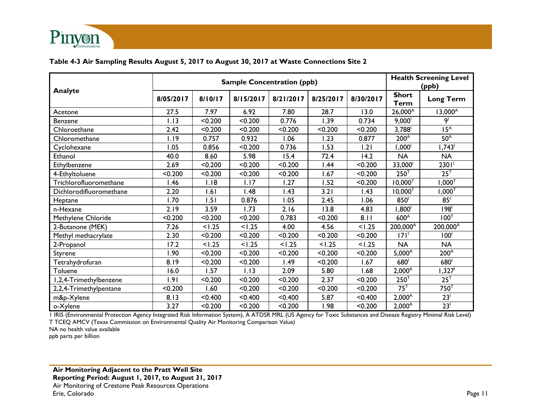

#### **Table 4-3 Air Sampling Results August 5, 2017 to August 30, 2017 at Waste Connections Site 2**

|                          | <b>Sample Concentration (ppb)</b> |         |           |           |           |           |                             | <b>Health Screening Level</b><br>(ppb) |  |
|--------------------------|-----------------------------------|---------|-----------|-----------|-----------|-----------|-----------------------------|----------------------------------------|--|
| Analyte                  | 8/05/2017                         | 8/10/17 | 8/15/2017 | 8/21/2017 | 8/25/2017 | 8/30/2017 | <b>Short</b><br><b>Term</b> | <b>Long Term</b>                       |  |
| Acetone                  | 27.5                              | 7.97    | 6.92      | 7.80      | 28.7      | 13.0      | $26,000^{\circ}$            | $13,000^{\circ}$                       |  |
| Benzene                  | 1.13                              | < 0.200 | < 0.200   | 0.776     | 1.39      | 0.734     | $9,000$ <sup>1</sup>        | او                                     |  |
| Chloroethane             | 2.42                              | < 0.200 | < 0.200   | < 0.200   | < 0.200   | < 0.200   | 3,788 <sup>1</sup>          | 15 <sup>A</sup>                        |  |
| Chloromethane            | 1.19                              | 0.757   | 0.932     | 1.06      | 1.23      | 0.877     | 200 <sup>A</sup>            | 50 <sup>A</sup>                        |  |
| Cyclohexane              | 1.05                              | 0.856   | < 0.200   | 0.736     | 1.53      | 1.21      | 1,000 <sup>1</sup>          | 1,743                                  |  |
| Ethanol                  | 40.0                              | 8.60    | 5.98      | 15.4      | 72.4      | 14.2      | <b>NA</b>                   | <b>NA</b>                              |  |
| Ethylbenzene             | 2.69                              | < 0.200 | < 0.200   | < 0.200   | 1.44      | < 0.200   | 33,000                      | 2301                                   |  |
| 4-Ethyltoluene           | < 0.200                           | < 0.200 | < 0.200   | < 0.200   | 1.67      | < 0.200   | $250^T$                     | $25^T$                                 |  |
| Trichlorofluoromethane   | 1.46                              | 1.18    | 1.17      | 1.27      | 1.52      | < 0.200   | $10,000^{T}$                | $1,000^\intercal$                      |  |
| Dichlorodifluoromethane  | 2.20                              | 1.61    | .48       | 1.43      | 3.21      | 1.43      | $10,000^{T}$                | $1,000^\top$                           |  |
| Heptane                  | 1.70                              | 1.51    | 0.876     | 1.05      | 2.45      | 1.06      | 850                         | 85 <sup>1</sup>                        |  |
| n-Hexane                 | 2.19                              | 3.59    | 1.73      | 2.16      | 13.8      | 4.83      | $1,800^{\circ}$             | 198 <sup>1</sup>                       |  |
| Methylene Chloride       | < 0.200                           | < 0.200 | < 0.200   | 0.783     | < 0.200   | 8.11      | 600 <sup>A</sup>            | $100^{\top}$                           |  |
| 2-Butanone (MEK)         | 7.26                              | < 1.25  | < 1.25    | 4.00      | 4.56      | < 1.25    | 200,000 <sup>A</sup>        | 200,000 <sup>A</sup>                   |  |
| Methyl methacrylate      | 2.30                              | < 0.200 | < 0.200   | < 0.200   | < 0.200   | < 0.200   | 171                         | 100 <sup>1</sup>                       |  |
| 2-Propanol               | 17.2                              | < 1.25  | < 1.25    | < 1.25    | < 1.25    | < 1.25    | <b>NA</b>                   | <b>NA</b>                              |  |
| Styrene                  | 1.90                              | < 0.200 | < 0.200   | < 0.200   | < 0.200   | < 0.200   | $5,000^{\circ}$             | 200 <sup>A</sup>                       |  |
| Tetrahydrofuran          | 8.19                              | < 0.200 | < 0.200   | 1.49      | < 0.200   | 1.67      | 680 <sup>1</sup>            | 680 <sup>1</sup>                       |  |
| Toluene                  | 16.0                              | 1.57    | 1.13      | 2.09      | 5.80      | 1.68      | $2,000^{\text{A}}$          | 1,327 <sup>1</sup>                     |  |
| I, 2, 4-Trimethylbenzene | 1.91                              | < 0.200 | < 0.200   | < 0.200   | 2.37      | < 0.200   | 250 <sup>T</sup>            | $25^{\top}$                            |  |
| 2,2,4-Trimethylpentane   | < 0.200                           | 1.60    | < 0.200   | < 0.200   | < 0.200   | < 0.200   | $75^{\top}$                 | 750 <sup>T</sup>                       |  |
| m&p-Xylene               | 8.13                              | < 0.400 | < 0.400   | < 0.400   | 5.87      | < 0.400   | $2,000^{\circ}$             | 23 <sup>1</sup>                        |  |
| o-Xylene                 | 3.27                              | < 0.200 | < 0.200   | < 0.200   | 1.98      | < 0.200   | $2,000^{\circ}$             | 23 <sup>1</sup>                        |  |

1 IRIS (Environmental Protection Agency Integrated Risk Information System), A ATDSR MRL (US Agency for Toxic Substances and Disease Registry Minimal Risk Level) T TCEQ AMCV (Texas Commission on Environmental Quality Air Monitoring Comparison Value)

NA no health value available

ppb parts per billion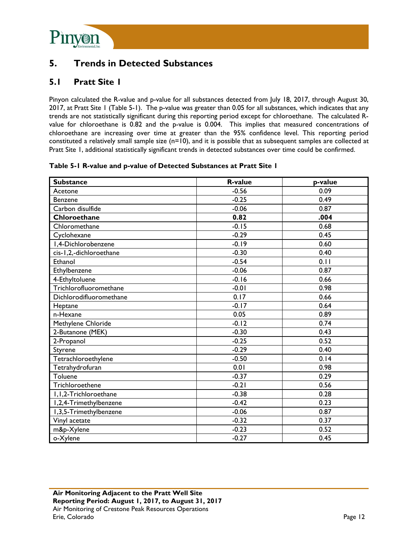

## **5. Trends in Detected Substances**

## **5.1 Pratt Site 1**

Pinyon calculated the R-value and p-value for all substances detected from July 18, 2017, through August 30, 2017, at Pratt Site 1 (Table 5-1). The p-value was greater than 0.05 for all substances, which indicates that any trends are not statistically significant during this reporting period except for chloroethane. The calculated Rvalue for chloroethane is 0.82 and the p-value is 0.004. This implies that measured concentrations of chloroethane are increasing over time at greater than the 95% confidence level. This reporting period constituted a relatively small sample size (n=10), and it is possible that as subsequent samples are collected at Pratt Site 1, additional statistically significant trends in detected substances over time could be confirmed.

|  |  |  |  | Table 5-1 R-value and p-value of Detected Substances at Pratt Site 1 |  |
|--|--|--|--|----------------------------------------------------------------------|--|
|--|--|--|--|----------------------------------------------------------------------|--|

| <b>Substance</b>         | <b>R-value</b> | p-value |
|--------------------------|----------------|---------|
| Acetone                  | $-0.56$        | 0.09    |
| Benzene                  | $-0.25$        | 0.49    |
| Carbon disulfide         | $-0.06$        | 0.87    |
| Chloroethane             | 0.82           | .004    |
| Chloromethane            | $-0.15$        | 0.68    |
| Cyclohexane              | $-0.29$        | 0.45    |
| I,4-Dichlorobenzene      | $-0.19$        | 0.60    |
| cis-1,2,-dichloroethane  | $-0.30$        | 0.40    |
| Ethanol                  | $-0.54$        | 0.11    |
| Ethylbenzene             | $-0.06$        | 0.87    |
| 4-Ethyltoluene           | $-0.16$        | 0.66    |
| Trichlorofluoromethane   | $-0.01$        | 0.98    |
| Dichlorodifluoromethane  | 0.17           | 0.66    |
| Heptane                  | $-0.17$        | 0.64    |
| n-Hexane                 | 0.05           | 0.89    |
| Methylene Chloride       | $-0.12$        | 0.74    |
| 2-Butanone (MEK)         | $-0.30$        | 0.43    |
| 2-Propanol               | $-0.25$        | 0.52    |
| Styrene                  | $-0.29$        | 0.40    |
| Tetrachloroethylene      | $-0.50$        | 0.14    |
| Tetrahydrofuran          | 0.01           | 0.98    |
| Toluene                  | $-0.37$        | 0.29    |
| Trichloroethene          | $-0.21$        | 0.56    |
| I, I, 2-Trichloroethane  | $-0.38$        | 0.28    |
| I,2,4-Trimethylbenzene   | $-0.42$        | 0.23    |
| I, 3, 5-Trimethylbenzene | $-0.06$        | 0.87    |
| Vinyl acetate            | $-0.32$        | 0.37    |
| m&p-Xylene               | $-0.23$        | 0.52    |
| o-Xylene                 | $-0.27$        | 0.45    |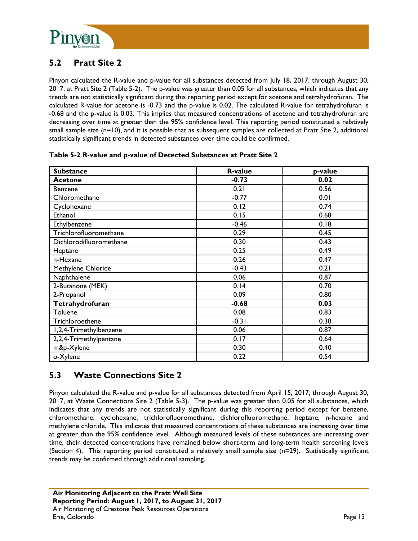

## **5.2 Pratt Site 2**

Pinyon calculated the R-value and p-value for all substances detected from July 18, 2017, through August 30, 2017, at Pratt Site 2 (Table 5-2). The p-value was greater than 0.05 for all substances, which indicates that any trends are not statistically significant during this reporting period except for acetone and tetrahydrofuran. The calculated R-value for acetone is -0.73 and the p-value is 0.02. The calculated R-value for tetrahydrofuran is -0.68 and the p-value is 0.03. This implies that measured concentrations of acetone and tetrahydrofuran are decreasing over time at greater than the 95% confidence level. This reporting period constituted a relatively small sample size (n=10), and it is possible that as subsequent samples are collected at Pratt Site 2, additional statistically significant trends in detected substances over time could be confirmed.

| <b>Substance</b>        | <b>R-value</b> | p-value |
|-------------------------|----------------|---------|
| <b>Acetone</b>          | $-0.73$        | 0.02    |
| Benzene                 | 0.21           | 0.56    |
| Chloromethane           | $-0.77$        | 0.01    |
| Cyclohexane             | 0.12           | 0.74    |
| Ethanol                 | 0.15           | 0.68    |
| Ethylbenzene            | $-0.46$        | 0.18    |
| Trichlorofluoromethane  | 0.29           | 0.45    |
| Dichlorodifluoromethane | 0.30           | 0.43    |
| Heptane                 | 0.25           | 0.49    |
| n-Hexane                | 0.26           | 0.47    |
| Methylene Chloride      | $-0.43$        | 0.21    |
| Naphthalene             | 0.06           | 0.87    |
| 2-Butanone (MEK)        | 0.14           | 0.70    |
| 2-Propanol              | 0.09           | 0.80    |
| Tetrahydrofuran         | $-0.68$        | 0.03    |
| Toluene                 | 0.08           | 0.83    |
| Trichloroethene         | $-0.31$        | 0.38    |
| I,2,4-Trimethylbenzene  | 0.06           | 0.87    |
| 2,2,4-Trimethylpentane  | 0.17           | 0.64    |
| m&p-Xylene              | 0.30           | 0.40    |
| o-Xylene                | 0.22           | 0.54    |

| Table 5-2 R-value and p-value of Detected Substances at Pratt Site 2 |  |  |
|----------------------------------------------------------------------|--|--|
|                                                                      |  |  |

## **5.3 Waste Connections Site 2**

Pinyon calculated the R-value and p-value for all substances detected from April 15, 2017, through August 30, 2017, at Waste Connections Site 2 (Table 5-3). The p-value was greater than 0.05 for all substances, which indicates that any trends are not statistically significant during this reporting period except for benzene, chloromethane, cyclohexane, trichlorofluoromethane, dichlorofluoromethane, heptane, n-hexane and methylene chloride. This indicates that measured concentrations of these substances are increasing over time at greater than the 95% confidence level. Although measured levels of these substances are increasing over time, their detected concentrations have remained below short-term and long-term health screening levels (Section 4). This reporting period constituted a relatively small sample size (n=29). Statistically significant trends may be confirmed through additional sampling.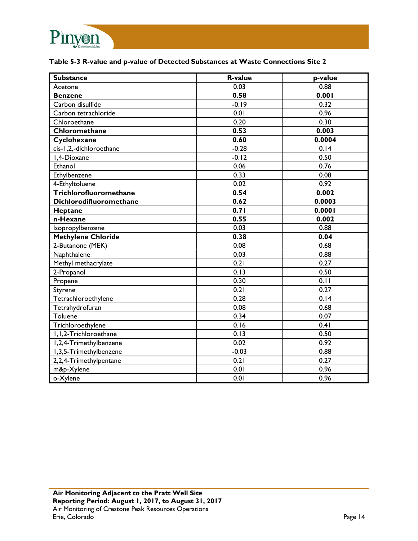

#### **Table 5-3 R-value and p-value of Detected Substances at Waste Connections Site 2**

| <b>Substance</b>          | <b>R-value</b> | p-value |
|---------------------------|----------------|---------|
| Acetone                   | 0.03           | 0.88    |
| <b>Benzene</b>            | 0.58           | 0.001   |
| Carbon disulfide          | $-0.19$        | 0.32    |
| Carbon tetrachloride      | 0.01           | 0.96    |
| Chloroethane              | 0.20           | 0.30    |
| Chloromethane             | 0.53           | 0.003   |
| Cyclohexane               | 0.60           | 0.0004  |
| cis-1,2,-dichloroethane   | $-0.28$        | 0.14    |
| I,4-Dioxane               | $-0.12$        | 0.50    |
| Ethanol                   | 0.06           | 0.76    |
| Ethylbenzene              | 0.33           | 0.08    |
| 4-Ethyltoluene            | 0.02           | 0.92    |
| Trichlorofluoromethane    | 0.54           | 0.002   |
| Dichlorodifluoromethane   | 0.62           | 0.0003  |
| Heptane                   | 0.71           | 0.0001  |
| n-Hexane                  | 0.55           | 0.002   |
| Isopropylbenzene          | 0.03           | 0.88    |
| <b>Methylene Chloride</b> | 0.38           | 0.04    |
| 2-Butanone (MEK)          | 0.08           | 0.68    |
| Naphthalene               | 0.03           | 0.88    |
| Methyl methacrylate       | 0.21           | 0.27    |
| 2-Propanol                | 0.13           | 0.50    |
| Propene                   | 0.30           | 0.11    |
| Styrene                   | 0.21           | 0.27    |
| Tetrachloroethylene       | 0.28           | 0.14    |
| Tetrahydrofuran           | 0.08           | 0.68    |
| Toluene                   | 0.34           | 0.07    |
| Trichloroethylene         | 0.16           | 0.41    |
| I, I, 2-Trichloroethane   | 0.13           | 0.50    |
| I,2,4-Trimethylbenzene    | 0.02           | 0.92    |
| I,3,5-Trimethylbenzene    | $-0.03$        | 0.88    |
| 2,2,4-Trimethylpentane    | 0.21           | 0.27    |
| m&p-Xylene                | 0.01           | 0.96    |
| o-Xylene                  | 0.01           | 0.96    |